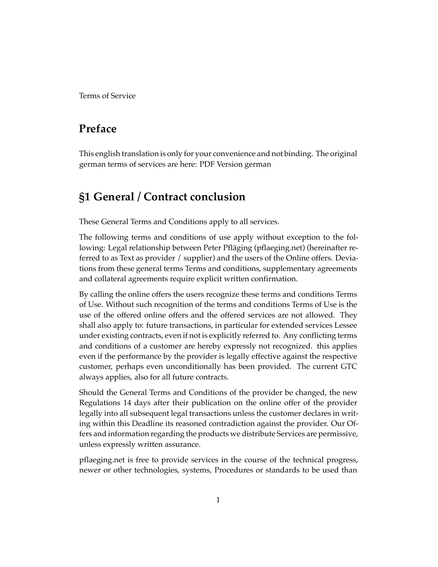Terms of Service

## **Preface**

This english translation is only for your convenience and not binding. The original german terms of services are here: [PDF Version german](https://www.stickiebox.org/wp-content/uploads/2017/10/StickieBox-AGB-20171010-v1-de.pdf)

## **§1 General / Contract conclusion**

These General Terms and Conditions apply to all services.

The following terms and conditions of use apply without exception to the following: Legal relationship between Peter Pfläging (pflaeging.net) (hereinafter referred to as Text as provider / supplier) and the users of the Online offers. Deviations from these general terms Terms and conditions, supplementary agreements and collateral agreements require explicit written confirmation.

By calling the online offers the users recognize these terms and conditions Terms of Use. Without such recognition of the terms and conditions Terms of Use is the use of the offered online offers and the offered services are not allowed. They shall also apply to: future transactions, in particular for extended services Lessee under existing contracts, even if not is explicitly referred to. Any conflicting terms and conditions of a customer are hereby expressly not recognized. this applies even if the performance by the provider is legally effective against the respective customer, perhaps even unconditionally has been provided. The current GTC always applies, also for all future contracts.

Should the General Terms and Conditions of the provider be changed, the new Regulations 14 days after their publication on the online offer of the provider legally into all subsequent legal transactions unless the customer declares in writing within this Deadline its reasoned contradiction against the provider. Our Offers and information regarding the products we distribute Services are permissive, unless expressly written assurance.

pflaeging.net is free to provide services in the course of the technical progress, newer or other technologies, systems, Procedures or standards to be used than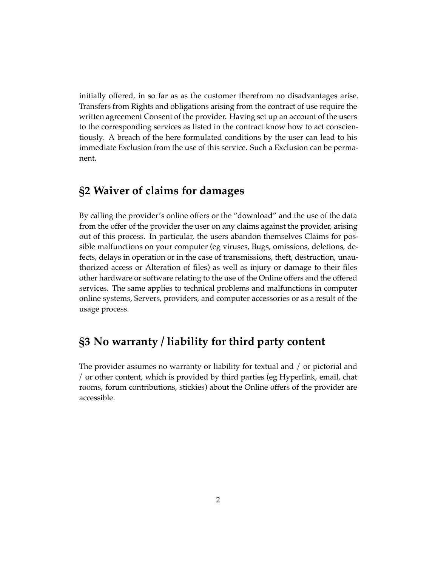initially offered, in so far as as the customer therefrom no disadvantages arise. Transfers from Rights and obligations arising from the contract of use require the written agreement Consent of the provider. Having set up an account of the users to the corresponding services as listed in the contract know how to act conscientiously. A breach of the here formulated conditions by the user can lead to his immediate Exclusion from the use of this service. Such a Exclusion can be permanent.

## **§2 Waiver of claims for damages**

By calling the provider's online offers or the "download" and the use of the data from the offer of the provider the user on any claims against the provider, arising out of this process. In particular, the users abandon themselves Claims for possible malfunctions on your computer (eg viruses, Bugs, omissions, deletions, defects, delays in operation or in the case of transmissions, theft, destruction, unauthorized access or Alteration of files) as well as injury or damage to their files other hardware or software relating to the use of the Online offers and the offered services. The same applies to technical problems and malfunctions in computer online systems, Servers, providers, and computer accessories or as a result of the usage process.

## **§3 No warranty / liability for third party content**

The provider assumes no warranty or liability for textual and / or pictorial and / or other content, which is provided by third parties (eg Hyperlink, email, chat rooms, forum contributions, stickies) about the Online offers of the provider are accessible.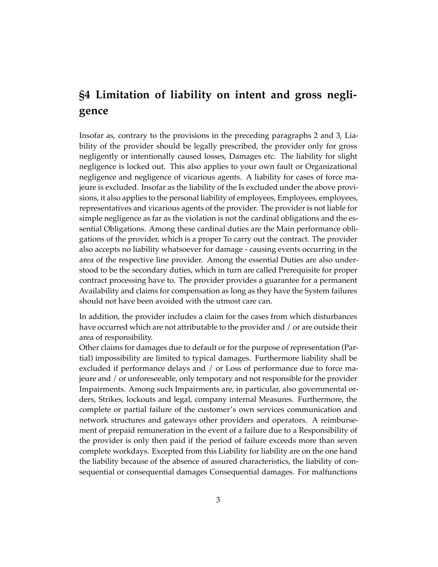# **§4 Limitation of liability on intent and gross negligence**

Insofar as, contrary to the provisions in the preceding paragraphs 2 and 3, Liability of the provider should be legally prescribed, the provider only for gross negligently or intentionally caused losses, Damages etc. The liability for slight negligence is locked out. This also applies to your own fault or Organizational negligence and negligence of vicarious agents. A liability for cases of force majeure is excluded. Insofar as the liability of the Is excluded under the above provisions, it also applies to the personal liability of employees, Employees, employees, representatives and vicarious agents of the provider. The provider is not liable for simple negligence as far as the violation is not the cardinal obligations and the essential Obligations. Among these cardinal duties are the Main performance obligations of the provider, which is a proper To carry out the contract. The provider also accepts no liability whatsoever for damage - causing events occurring in the area of the respective line provider. Among the essential Duties are also understood to be the secondary duties, which in turn are called Prerequisite for proper contract processing have to. The provider provides a guarantee for a permanent Availability and claims for compensation as long as they have the System failures should not have been avoided with the utmost care can.

In addition, the provider includes a claim for the cases from which disturbances have occurred which are not attributable to the provider and / or are outside their area of responsibility.

Other claims for damages due to default or for the purpose of representation (Partial) impossibility are limited to typical damages. Furthermore liability shall be excluded if performance delays and / or Loss of performance due to force majeure and / or unforeseeable, only temporary and not responsible for the provider Impairments. Among such Impairments are, in particular, also governmental orders, Strikes, lockouts and legal, company internal Measures. Furthermore, the complete or partial failure of the customer's own services communication and network structures and gateways other providers and operators. A reimbursement of prepaid remuneration in the event of a failure due to a Responsibility of the provider is only then paid if the period of failure exceeds more than seven complete workdays. Excepted from this Liability for liability are on the one hand the liability because of the absence of assured characteristics, the liability of consequential or consequential damages Consequential damages. For malfunctions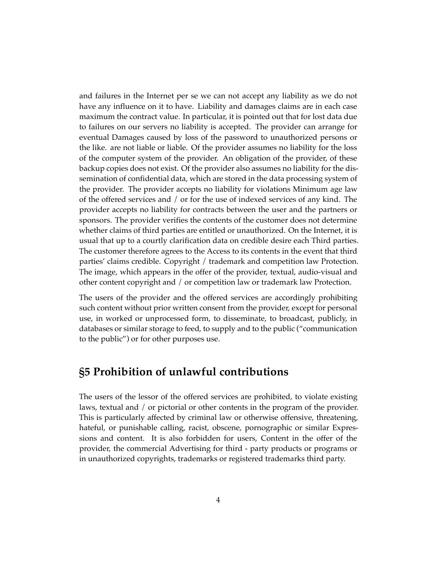and failures in the Internet per se we can not accept any liability as we do not have any influence on it to have. Liability and damages claims are in each case maximum the contract value. In particular, it is pointed out that for lost data due to failures on our servers no liability is accepted. The provider can arrange for eventual Damages caused by loss of the password to unauthorized persons or the like. are not liable or liable. Of the provider assumes no liability for the loss of the computer system of the provider. An obligation of the provider, of these backup copies does not exist. Of the provider also assumes no liability for the dissemination of confidential data, which are stored in the data processing system of the provider. The provider accepts no liability for violations Minimum age law of the offered services and / or for the use of indexed services of any kind. The provider accepts no liability for contracts between the user and the partners or sponsors. The provider verifies the contents of the customer does not determine whether claims of third parties are entitled or unauthorized. On the Internet, it is usual that up to a courtly clarification data on credible desire each Third parties. The customer therefore agrees to the Access to its contents in the event that third parties' claims credible. Copyright / trademark and competition law Protection. The image, which appears in the offer of the provider, textual, audio-visual and other content copyright and / or competition law or trademark law Protection.

The users of the provider and the offered services are accordingly prohibiting such content without prior written consent from the provider, except for personal use, in worked or unprocessed form, to disseminate, to broadcast, publicly, in databases or similar storage to feed, to supply and to the public ("communication to the public") or for other purposes use.

### **§5 Prohibition of unlawful contributions**

The users of the lessor of the offered services are prohibited, to violate existing laws, textual and / or pictorial or other contents in the program of the provider. This is particularly affected by criminal law or otherwise offensive, threatening, hateful, or punishable calling, racist, obscene, pornographic or similar Expressions and content. It is also forbidden for users, Content in the offer of the provider, the commercial Advertising for third - party products or programs or in unauthorized copyrights, trademarks or registered trademarks third party.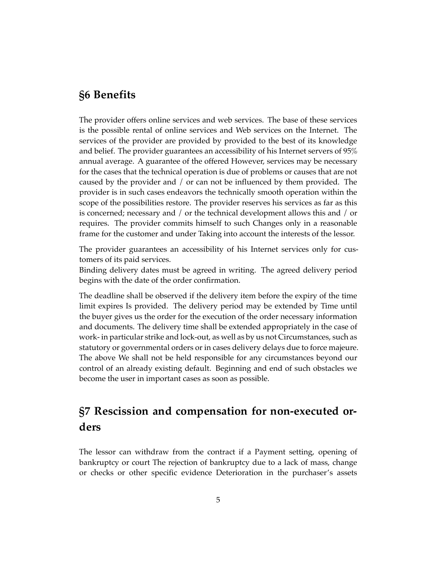### **§6 Benefits**

The provider offers online services and web services. The base of these services is the possible rental of online services and Web services on the Internet. The services of the provider are provided by provided to the best of its knowledge and belief. The provider guarantees an accessibility of his Internet servers of 95% annual average. A guarantee of the offered However, services may be necessary for the cases that the technical operation is due of problems or causes that are not caused by the provider and / or can not be influenced by them provided. The provider is in such cases endeavors the technically smooth operation within the scope of the possibilities restore. The provider reserves his services as far as this is concerned; necessary and / or the technical development allows this and / or requires. The provider commits himself to such Changes only in a reasonable frame for the customer and under Taking into account the interests of the lessor.

The provider guarantees an accessibility of his Internet services only for customers of its paid services.

Binding delivery dates must be agreed in writing. The agreed delivery period begins with the date of the order confirmation.

The deadline shall be observed if the delivery item before the expiry of the time limit expires Is provided. The delivery period may be extended by Time until the buyer gives us the order for the execution of the order necessary information and documents. The delivery time shall be extended appropriately in the case of work- in particular strike and lock-out, as well as by us not Circumstances, such as statutory or governmental orders or in cases delivery delays due to force majeure. The above We shall not be held responsible for any circumstances beyond our control of an already existing default. Beginning and end of such obstacles we become the user in important cases as soon as possible.

## **§7 Rescission and compensation for non-executed orders**

The lessor can withdraw from the contract if a Payment setting, opening of bankruptcy or court The rejection of bankruptcy due to a lack of mass, change or checks or other specific evidence Deterioration in the purchaser's assets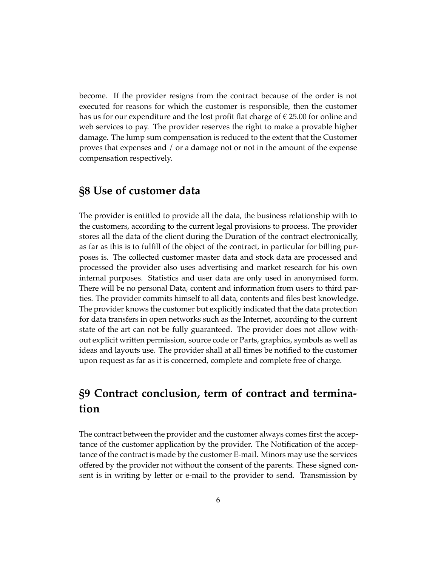become. If the provider resigns from the contract because of the order is not executed for reasons for which the customer is responsible, then the customer has us for our expenditure and the lost profit flat charge of  $\epsilon$  25.00 for online and web services to pay. The provider reserves the right to make a provable higher damage. The lump sum compensation is reduced to the extent that the Customer proves that expenses and / or a damage not or not in the amount of the expense compensation respectively.

### **§8 Use of customer data**

The provider is entitled to provide all the data, the business relationship with to the customers, according to the current legal provisions to process. The provider stores all the data of the client during the Duration of the contract electronically, as far as this is to fulfill of the object of the contract, in particular for billing purposes is. The collected customer master data and stock data are processed and processed the provider also uses advertising and market research for his own internal purposes. Statistics and user data are only used in anonymised form. There will be no personal Data, content and information from users to third parties. The provider commits himself to all data, contents and files best knowledge. The provider knows the customer but explicitly indicated that the data protection for data transfers in open networks such as the Internet, according to the current state of the art can not be fully guaranteed. The provider does not allow without explicit written permission, source code or Parts, graphics, symbols as well as ideas and layouts use. The provider shall at all times be notified to the customer upon request as far as it is concerned, complete and complete free of charge.

# **§9 Contract conclusion, term of contract and termination**

The contract between the provider and the customer always comes first the acceptance of the customer application by the provider. The Notification of the acceptance of the contract is made by the customer E-mail. Minors may use the services offered by the provider not without the consent of the parents. These signed consent is in writing by letter or e-mail to the provider to send. Transmission by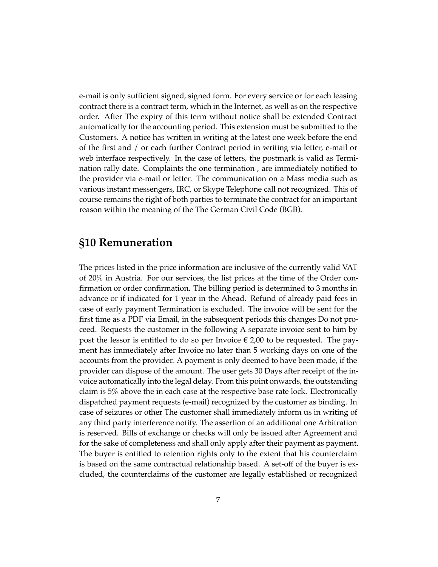e-mail is only sufficient signed, signed form. For every service or for each leasing contract there is a contract term, which in the Internet, as well as on the respective order. After The expiry of this term without notice shall be extended Contract automatically for the accounting period. This extension must be submitted to the Customers. A notice has written in writing at the latest one week before the end of the first and / or each further Contract period in writing via letter, e-mail or web interface respectively. In the case of letters, the postmark is valid as Termination rally date. Complaints the one termination , are immediately notified to the provider via e-mail or letter. The communication on a Mass media such as various instant messengers, IRC, or Skype Telephone call not recognized. This of course remains the right of both parties to terminate the contract for an important reason within the meaning of the The German Civil Code (BGB).

#### **§10 Remuneration**

The prices listed in the price information are inclusive of the currently valid VAT of 20% in Austria. For our services, the list prices at the time of the Order confirmation or order confirmation. The billing period is determined to 3 months in advance or if indicated for 1 year in the Ahead. Refund of already paid fees in case of early payment Termination is excluded. The invoice will be sent for the first time as a PDF via Email, in the subsequent periods this changes Do not proceed. Requests the customer in the following A separate invoice sent to him by post the lessor is entitled to do so per Invoice  $\epsilon$  2,00 to be requested. The payment has immediately after Invoice no later than 5 working days on one of the accounts from the provider. A payment is only deemed to have been made, if the provider can dispose of the amount. The user gets 30 Days after receipt of the invoice automatically into the legal delay. From this point onwards, the outstanding claim is 5% above the in each case at the respective base rate lock. Electronically dispatched payment requests (e-mail) recognized by the customer as binding. In case of seizures or other The customer shall immediately inform us in writing of any third party interference notify. The assertion of an additional one Arbitration is reserved. Bills of exchange or checks will only be issued after Agreement and for the sake of completeness and shall only apply after their payment as payment. The buyer is entitled to retention rights only to the extent that his counterclaim is based on the same contractual relationship based. A set-off of the buyer is excluded, the counterclaims of the customer are legally established or recognized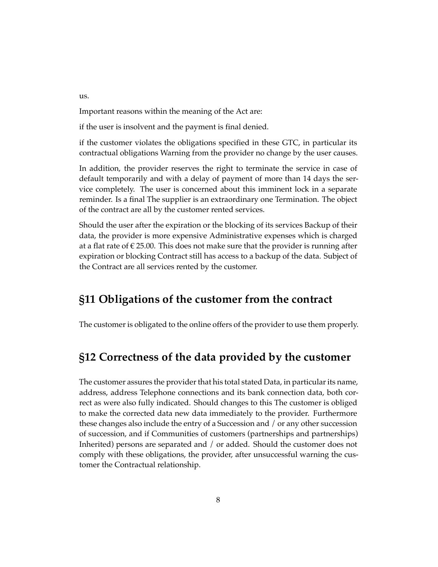us.

Important reasons within the meaning of the Act are:

if the user is insolvent and the payment is final denied.

if the customer violates the obligations specified in these GTC, in particular its contractual obligations Warning from the provider no change by the user causes.

In addition, the provider reserves the right to terminate the service in case of default temporarily and with a delay of payment of more than 14 days the service completely. The user is concerned about this imminent lock in a separate reminder. Is a final The supplier is an extraordinary one Termination. The object of the contract are all by the customer rented services.

Should the user after the expiration or the blocking of its services Backup of their data, the provider is more expensive Administrative expenses which is charged at a flat rate of  $\epsilon$  25.00. This does not make sure that the provider is running after expiration or blocking Contract still has access to a backup of the data. Subject of the Contract are all services rented by the customer.

#### **§11 Obligations of the customer from the contract**

The customer is obligated to the online offers of the provider to use them properly.

## **§12 Correctness of the data provided by the customer**

The customer assures the provider that his total stated Data, in particular its name, address, address Telephone connections and its bank connection data, both correct as were also fully indicated. Should changes to this The customer is obliged to make the corrected data new data immediately to the provider. Furthermore these changes also include the entry of a Succession and / or any other succession of succession, and if Communities of customers (partnerships and partnerships) Inherited) persons are separated and / or added. Should the customer does not comply with these obligations, the provider, after unsuccessful warning the customer the Contractual relationship.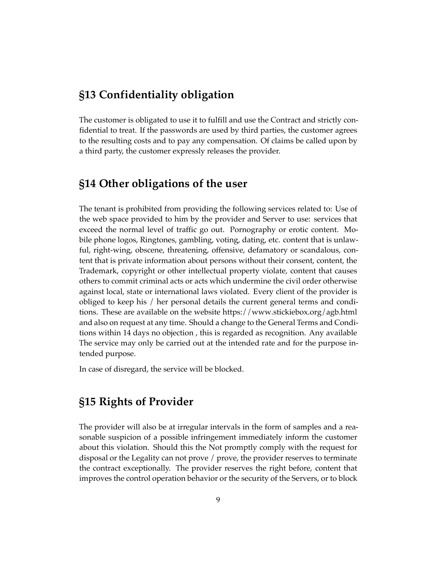## **§13 Confidentiality obligation**

The customer is obligated to use it to fulfill and use the Contract and strictly confidential to treat. If the passwords are used by third parties, the customer agrees to the resulting costs and to pay any compensation. Of claims be called upon by a third party, the customer expressly releases the provider.

### **§14 Other obligations of the user**

The tenant is prohibited from providing the following services related to: Use of the web space provided to him by the provider and Server to use: services that exceed the normal level of traffic go out. Pornography or erotic content. Mobile phone logos, Ringtones, gambling, voting, dating, etc. content that is unlawful, right-wing, obscene, threatening, offensive, defamatory or scandalous, content that is private information about persons without their consent, content, the Trademark, copyright or other intellectual property violate, content that causes others to commit criminal acts or acts which undermine the civil order otherwise against local, state or international laws violated. Every client of the provider is obliged to keep his / her personal details the current general terms and conditions. These are available on the website <https://www.stickiebox.org/agb.html> and also on request at any time. Should a change to the General Terms and Conditions within 14 days no objection , this is regarded as recognition. Any available The service may only be carried out at the intended rate and for the purpose intended purpose.

In case of disregard, the service will be blocked.

### **§15 Rights of Provider**

The provider will also be at irregular intervals in the form of samples and a reasonable suspicion of a possible infringement immediately inform the customer about this violation. Should this the Not promptly comply with the request for disposal or the Legality can not prove / prove, the provider reserves to terminate the contract exceptionally. The provider reserves the right before, content that improves the control operation behavior or the security of the Servers, or to block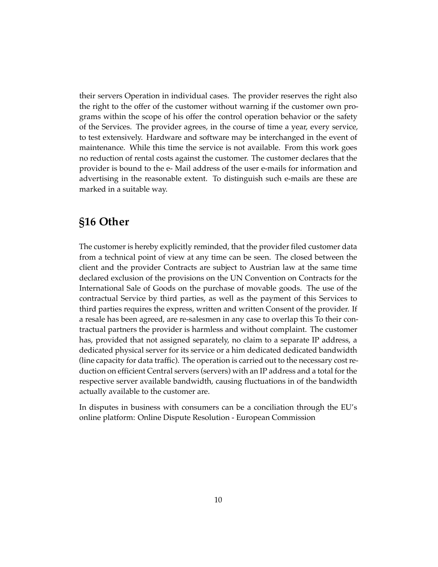their servers Operation in individual cases. The provider reserves the right also the right to the offer of the customer without warning if the customer own programs within the scope of his offer the control operation behavior or the safety of the Services. The provider agrees, in the course of time a year, every service, to test extensively. Hardware and software may be interchanged in the event of maintenance. While this time the service is not available. From this work goes no reduction of rental costs against the customer. The customer declares that the provider is bound to the e- Mail address of the user e-mails for information and advertising in the reasonable extent. To distinguish such e-mails are these are marked in a suitable way.

## **§16 Other**

The customer is hereby explicitly reminded, that the provider filed customer data from a technical point of view at any time can be seen. The closed between the client and the provider Contracts are subject to Austrian law at the same time declared exclusion of the provisions on the UN Convention on Contracts for the International Sale of Goods on the purchase of movable goods. The use of the contractual Service by third parties, as well as the payment of this Services to third parties requires the express, written and written Consent of the provider. If a resale has been agreed, are re-salesmen in any case to overlap this To their contractual partners the provider is harmless and without complaint. The customer has, provided that not assigned separately, no claim to a separate IP address, a dedicated physical server for its service or a him dedicated dedicated bandwidth (line capacity for data traffic). The operation is carried out to the necessary cost reduction on efficient Central servers (servers) with an IP address and a total for the respective server available bandwidth, causing fluctuations in of the bandwidth actually available to the customer are.

In disputes in business with consumers can be a conciliation through the EU's online platform: [Online Dispute Resolution - European Commission](https://ec.europa.eu/consumers/odr/)